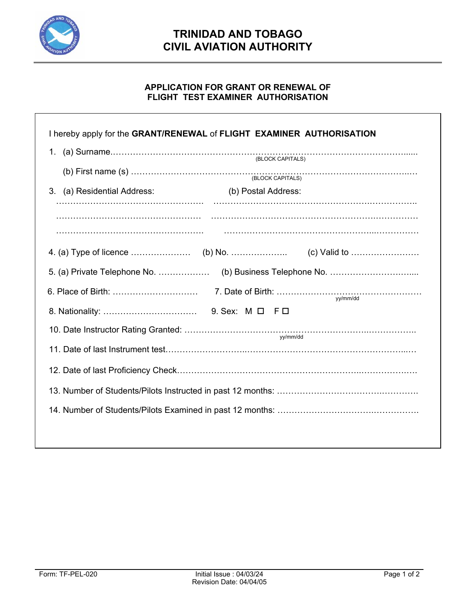

## **TRINIDAD AND TOBAGO CIVIL AVIATION AUTHORITY**

## **APPLICATION FOR GRANT OR RENEWAL OF FLIGHT TEST EXAMINER AUTHORISATION**

|                             | I hereby apply for the GRANT/RENEWAL of FLIGHT EXAMINER AUTHORISATION |
|-----------------------------|-----------------------------------------------------------------------|
|                             |                                                                       |
|                             | (BLOCK CAPITALS)                                                      |
| 3. (a) Residential Address: | (b) Postal Address:                                                   |
|                             |                                                                       |
|                             |                                                                       |
|                             |                                                                       |
|                             | yy/mm/dd                                                              |
|                             |                                                                       |
|                             | yy/mm/dd                                                              |
|                             |                                                                       |
|                             |                                                                       |
|                             |                                                                       |
|                             |                                                                       |